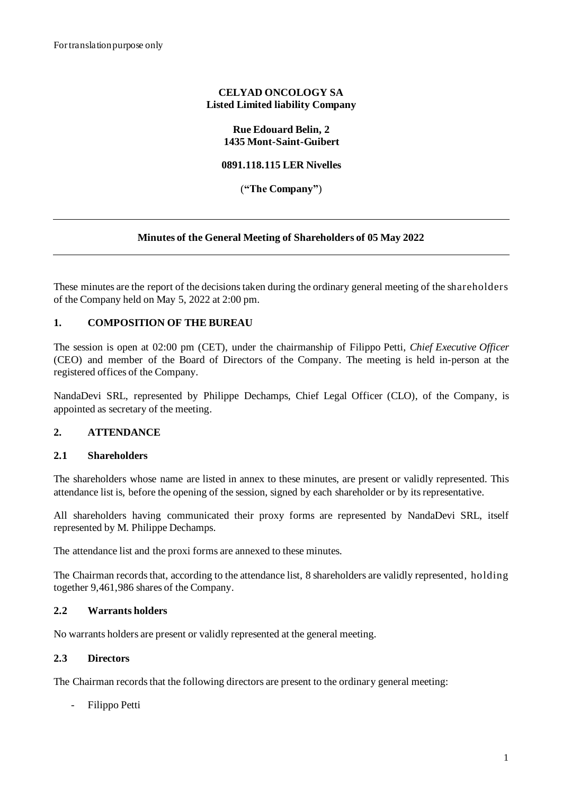## **CELYAD ONCOLOGY SA Listed Limited liability Company**

#### **Rue Edouard Belin, 2 1435 Mont-Saint-Guibert**

#### **0891.118.115 LER Nivelles**

(**"The Company"**)

#### **Minutes of the General Meeting of Shareholders of 05 May 2022**

These minutes are the report of the decisions taken during the ordinary general meeting of the shareholders of the Company held on May 5, 2022 at 2:00 pm.

## **1. COMPOSITION OF THE BUREAU**

The session is open at 02:00 pm (CET), under the chairmanship of Filippo Petti, *Chief Executive Officer* (CEO) and member of the Board of Directors of the Company. The meeting is held in-person at the registered offices of the Company.

NandaDevi SRL, represented by Philippe Dechamps, Chief Legal Officer (CLO), of the Company, is appointed as secretary of the meeting.

#### **2. ATTENDANCE**

#### **2.1 Shareholders**

The shareholders whose name are listed in annex to these minutes, are present or validly represented. This attendance list is, before the opening of the session, signed by each shareholder or by its representative.

All shareholders having communicated their proxy forms are represented by NandaDevi SRL, itself represented by M. Philippe Dechamps.

The attendance list and the proxi forms are annexed to these minutes.

The Chairman records that, according to the attendance list, 8 shareholders are validly represented, holding together 9,461,986 shares of the Company.

#### **2.2 Warrants holders**

No warrants holders are present or validly represented at the general meeting.

#### **2.3 Directors**

The Chairman records that the following directors are present to the ordinary general meeting:

- Filippo Petti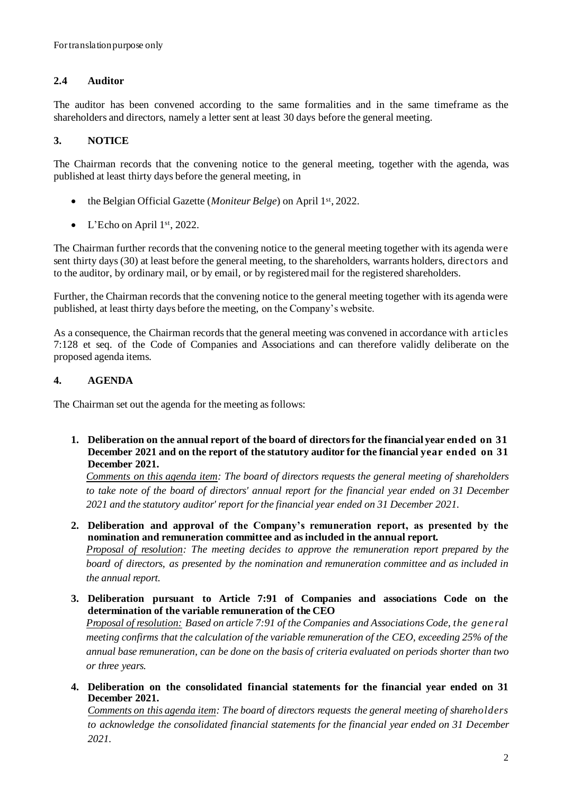# **2.4 Auditor**

The auditor has been convened according to the same formalities and in the same timeframe as the shareholders and directors, namely a letter sent at least 30 days before the general meeting.

# **3. NOTICE**

The Chairman records that the convening notice to the general meeting, together with the agenda, was published at least thirty days before the general meeting, in

- the Belgian Official Gazette (*Moniteur Belge*) on April 1<sup>st</sup>, 2022.
- L'Echo on April  $1<sup>st</sup>$ , 2022.

The Chairman further records that the convening notice to the general meeting together with its agenda were sent thirty days (30) at least before the general meeting, to the shareholders, warrants holders, directors and to the auditor, by ordinary mail, or by email, or by registered mail for the registered shareholders.

Further, the Chairman records that the convening notice to the general meeting together with its agenda were published, at least thirty days before the meeting, on the Company's website.

As a consequence, the Chairman records that the general meeting was convened in accordance with articles 7:128 et seq. of the Code of Companies and Associations and can therefore validly deliberate on the proposed agenda items.

# **4. AGENDA**

The Chairman set out the agenda for the meeting as follows:

**1. Deliberation on the annual report of the board of directors for the financial year ended on 31 December 2021 and on the report of the statutory auditor for the financial year ended on 31 December 2021.**

*Comments on this agenda item: The board of directors requests the general meeting of shareholders to take note of the board of directors' annual report for the financial year ended on 31 December 2021 and the statutory auditor' report for the financial year ended on 31 December 2021.*

**2. Deliberation and approval of the Company's remuneration report, as presented by the nomination and remuneration committee and as included in the annual report.** 

*Proposal of resolution: The meeting decides to approve the remuneration report prepared by the board of directors, as presented by the nomination and remuneration committee and as included in the annual report.*

**3. Deliberation pursuant to Article 7:91 of Companies and associations Code on the determination of the variable remuneration of the CEO** *Proposal of resolution: Based on article 7:91 of the Companies and Associations Code, the gene ral meeting confirms that the calculation of the variable remuneration of the CEO, exceeding 25% of the annual base remuneration, can be done on the basis of criteria evaluated on periods shorter than two* 

*or three years.*

**4. Deliberation on the consolidated financial statements for the financial year ended on 31 December 2021.**

*Comments on this agenda item: The board of directors requests the general meeting of shareholders to acknowledge the consolidated financial statements for the financial year ended on 31 December 2021.*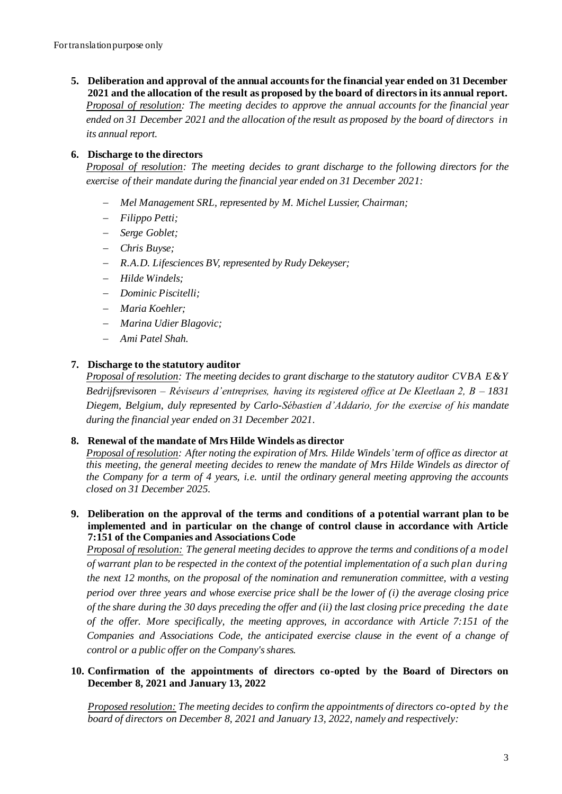**5. Deliberation and approval of the annual accounts for the financial year ended on 31 December 2021 and the allocation of the result as proposed by the board of directors in its annual report.**  *Proposal of resolution: The meeting decides to approve the annual accounts for the financial year ended on 31 December 2021 and the allocation of the result as proposed by the board of directors in its annual report.*

# **6. Discharge to the directors**

*Proposal of resolution: The meeting decides to grant discharge to the following directors for the exercise of their mandate during the financial year ended on 31 December 2021:*

- − *Mel Management SRL, represented by M. Michel Lussier, Chairman;*
- − *Filippo Petti;*
- − *Serge Goblet;*
- − *Chris Buyse;*
- − *R.A.D. Lifesciences BV, represented by Rudy Dekeyser;*
- − *Hilde Windels;*
- − *Dominic Piscitelli;*
- − *Maria Koehler;*
- − *Marina Udier Blagovic;*
- − *Ami Patel Shah.*

## **7. Discharge to the statutory auditor**

*Proposal of resolution: The meeting decides to grant discharge to the statutory auditor CVBA E&Y Bedrijfsrevisoren – Réviseurs d'entreprises, having its registered office at De Kleetlaan 2, B – 1831 Diegem, Belgium, duly represented by Carlo-Sébastien d'Addario, for the exercise of his mandate during the financial year ended on 31 December 2021*.

## **8. Renewal of the mandate of Mrs Hilde Windels as director**

*Proposal of resolution: After noting the expiration of Mrs. Hilde Windels'term of office as director at this meeting, the general meeting decides to renew the mandate of Mrs Hilde Windels as director of the Company for a term of 4 years, i.e. until the ordinary general meeting approving the accounts closed on 31 December 2025.* 

**9. Deliberation on the approval of the terms and conditions of a potential warrant plan to be implemented and in particular on the change of control clause in accordance with Article 7:151 of the Companies and Associations Code**

*Proposal of resolution: The general meeting decides to approve the terms and conditions of a model of warrant plan to be respected in the context of the potential implementation of a such plan during the next 12 months, on the proposal of the nomination and remuneration committee, with a vesting period over three years and whose exercise price shall be the lower of (i) the average closing price of the share during the 30 days preceding the offer and (ii) the last closing price preceding the date of the offer. More specifically, the meeting approves, in accordance with Article 7:151 of the Companies and Associations Code, the anticipated exercise clause in the event of a change of control or a public offer on the Company's shares.*

## **10. Confirmation of the appointments of directors co-opted by the Board of Directors on December 8, 2021 and January 13, 2022**

*Proposed resolution: The meeting decides to confirm the appointments of directors co-opted by the board of directors on December 8, 2021 and January 13, 2022, namely and respectively:*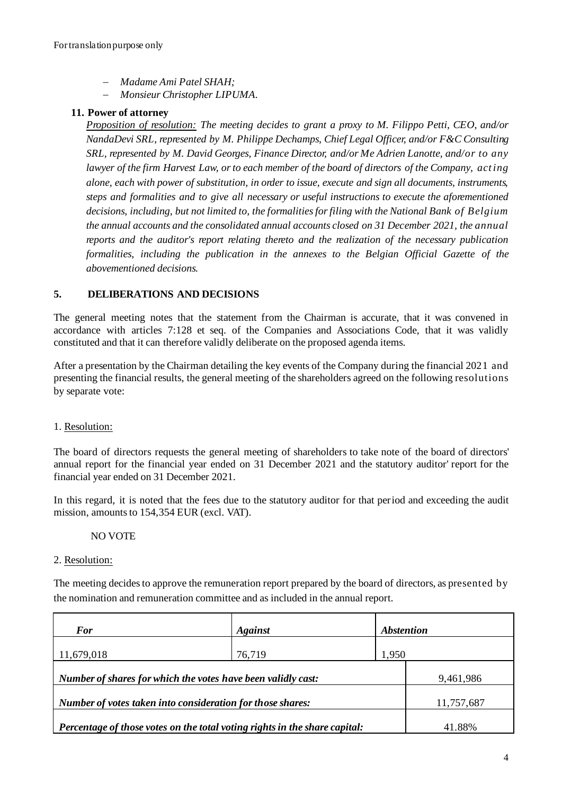- − *Madame Ami Patel SHAH;*
- − *Monsieur Christopher LIPUMA.*

## **11. Power of attorney**

*Proposition of resolution: The meeting decides to grant a proxy to M. Filippo Petti, CEO, and/or NandaDevi SRL*, *represented by M. Philippe Dechamps, Chief Legal Officer, and/or F&C Consulting SRL, represented by M. David Georges, Finance Director, and/or Me Adrien Lanotte, and/or to any lawyer of the firm Harvest Law, or to each member of the board of directors of the Company, act ing alone, each with power of substitution, in order to issue, execute and sign all documents, instruments, steps and formalities and to give all necessary or useful instructions to execute the aforementioned decisions, including, but not limited to, the formalities for filing with the National Bank of Belgium the annual accounts and the consolidated annual accounts closed on 31 December 2021, the annual reports and the auditor's report relating thereto and the realization of the necessary publication formalities, including the publication in the annexes to the Belgian Official Gazette of the abovementioned decisions.* 

## **5. DELIBERATIONS AND DECISIONS**

The general meeting notes that the statement from the Chairman is accurate, that it was convened in accordance with articles 7:128 et seq. of the Companies and Associations Code, that it was validly constituted and that it can therefore validly deliberate on the proposed agenda items.

After a presentation by the Chairman detailing the key events of the Company during the financial 2021 and presenting the financial results, the general meeting of the shareholders agreed on the following resolutions by separate vote:

## 1. Resolution:

The board of directors requests the general meeting of shareholders to take note of the board of directors' annual report for the financial year ended on 31 December 2021 and the statutory auditor' report for the financial year ended on 31 December 2021.

In this regard, it is noted that the fees due to the statutory auditor for that period and exceeding the audit mission, amounts to 154,354 EUR (excl. VAT).

## NO VOTE

## 2. Resolution:

The meeting decides to approve the remuneration report prepared by the board of directors, as presented by the nomination and remuneration committee and as included in the annual report.

| <b>For</b>                                                                 | <b>Against</b> | <i><b>Abstention</b></i> |            |
|----------------------------------------------------------------------------|----------------|--------------------------|------------|
| 11,679,018                                                                 | 76,719         | 1,950                    |            |
| Number of shares for which the votes have been validly cast:               |                |                          | 9,461,986  |
| Number of votes taken into consideration for those shares:                 |                |                          | 11,757,687 |
| Percentage of those votes on the total voting rights in the share capital: |                |                          | 41.88%     |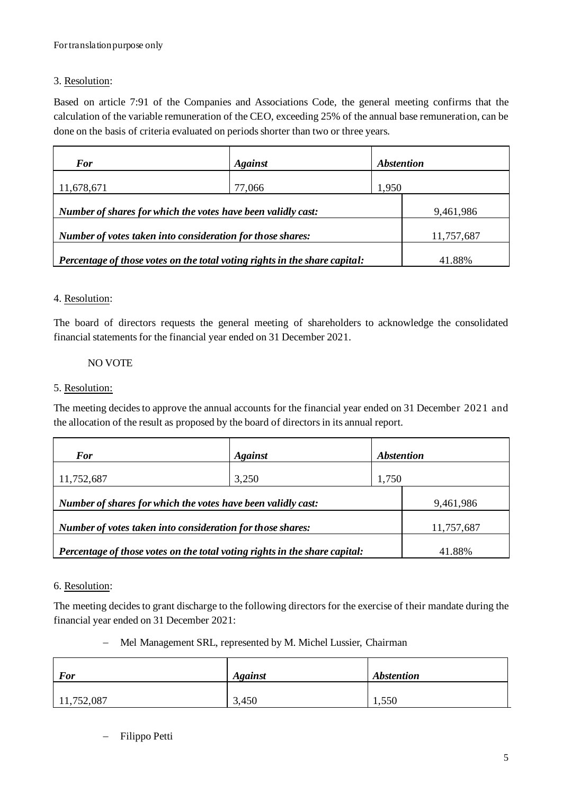# 3. Resolution:

Based on article 7:91 of the Companies and Associations Code, the general meeting confirms that the calculation of the variable remuneration of the CEO, exceeding 25% of the annual base remuneration, can be done on the basis of criteria evaluated on periods shorter than two or three years.

| <b>For</b>                                                                 | <b>Against</b>                                             | <i><b>Abstention</b></i> |            |
|----------------------------------------------------------------------------|------------------------------------------------------------|--------------------------|------------|
| 11,678,671                                                                 | 77,066                                                     | 1,950                    |            |
| Number of shares for which the votes have been validly cast:               |                                                            |                          | 9,461,986  |
|                                                                            | Number of votes taken into consideration for those shares: |                          | 11,757,687 |
| Percentage of those votes on the total voting rights in the share capital: |                                                            |                          | 41.88%     |

## 4. Resolution:

The board of directors requests the general meeting of shareholders to acknowledge the consolidated financial statements for the financial year ended on 31 December 2021.

## NO VOTE

## 5. Resolution:

The meeting decides to approve the annual accounts for the financial year ended on 31 December 2021 and the allocation of the result as proposed by the board of directors in its annual report.

| <b>For</b>                                                                 | <b>Against</b>                                             | <i><b>Abstention</b></i> |            |
|----------------------------------------------------------------------------|------------------------------------------------------------|--------------------------|------------|
| 11,752,687                                                                 | 3,250                                                      | 1,750                    |            |
| Number of shares for which the votes have been validly cast:               |                                                            |                          | 9,461,986  |
|                                                                            | Number of votes taken into consideration for those shares: |                          | 11,757,687 |
| Percentage of those votes on the total voting rights in the share capital: |                                                            |                          | 41.88%     |

## 6. Resolution:

The meeting decides to grant discharge to the following directors for the exercise of their mandate during the financial year ended on 31 December 2021:

## − Mel Management SRL, represented by M. Michel Lussier, Chairman

| <b>For</b> | <b>Against</b> | <b>Abstention</b> |
|------------|----------------|-------------------|
| 11,752,087 | 3,450          | 1,550             |

− Filippo Petti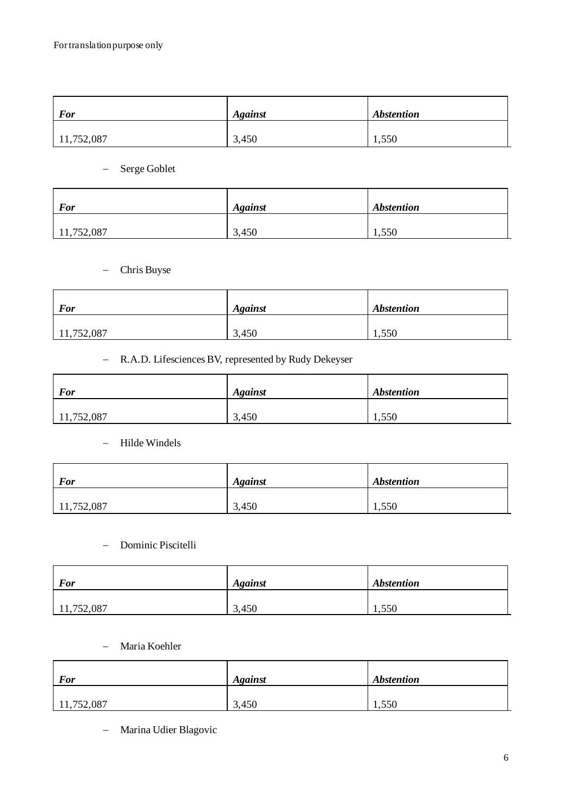| <b>For</b> | <b>Against</b> | <i><b>Abstention</b></i> |
|------------|----------------|--------------------------|
| 11,752,087 | 3,450          | 1,550                    |

− Serge Goblet

| <b>For</b> | <b>Against</b> | <b>Abstention</b> |
|------------|----------------|-------------------|
| 11,752,087 | 3,450          | 1,550             |

− Chris Buyse

| <b>For</b> | <b>Against</b> | <i><b>Abstention</b></i> |
|------------|----------------|--------------------------|
| 11,752,087 | 3,450          | 1,550                    |

# − R.A.D. Lifesciences BV, represented by Rudy Dekeyser

| <b>For</b> | <i><b>Against</b></i> | <b>Abstention</b> |
|------------|-----------------------|-------------------|
| 11,752,087 | 3,450                 | 1,550             |

− Hilde Windels

| <b>For</b> | <b>Against</b> | <b>Abstention</b> |
|------------|----------------|-------------------|
| 11,752,087 | 3,450          | 1,550             |

# − Dominic Piscitelli

| <b>For</b> | <b>Against</b> | <b>Abstention</b> |
|------------|----------------|-------------------|
| 11,752,087 | 3,450          | 1,550             |

#### − Maria Koehler

| <b>For</b> | <b>Against</b> | <b>Abstention</b> |
|------------|----------------|-------------------|
| 11,752,087 | 3,450          | 1,550             |

− Marina Udier Blagovic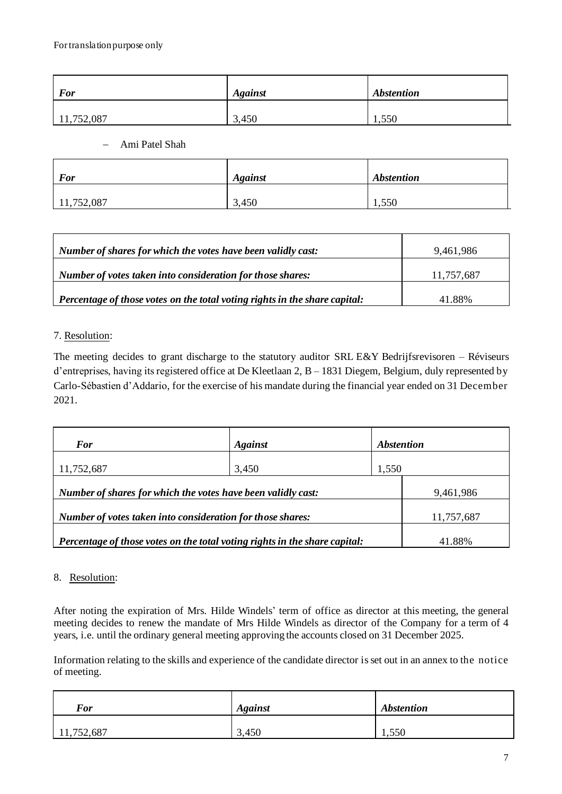| <b>For</b> | <b>Against</b> | <b>Abstention</b> |
|------------|----------------|-------------------|
| 11,752,087 | 3,450          | 1,550             |

− Ami Patel Shah

| <b>For</b> | <b>Against</b> | <b>Abstention</b> |
|------------|----------------|-------------------|
| 11,752,087 | 3,450          | 1,550             |

| Number of shares for which the votes have been validly cast:                       | 9,461,986  |
|------------------------------------------------------------------------------------|------------|
| Number of votes taken into consideration for those shares:                         | 11,757,687 |
| $\vert$ Percentage of those votes on the total voting rights in the share capital: | 41.88%     |

## 7. Resolution:

The meeting decides to grant discharge to the statutory auditor SRL E&Y Bedrijfsrevisoren – Réviseurs d'entreprises, having its registered office at De Kleetlaan 2, B – 1831 Diegem, Belgium, duly represented by Carlo-Sébastien d'Addario, for the exercise of his mandate during the financial year ended on 31 December 2021.

| <b>For</b>                                                                 | <b>Against</b> | <i><b>Abstention</b></i> |            |
|----------------------------------------------------------------------------|----------------|--------------------------|------------|
| 11,752,687                                                                 | 3,450          | 1,550                    |            |
| Number of shares for which the votes have been validly cast:               |                |                          | 9,461,986  |
| Number of votes taken into consideration for those shares:                 |                |                          | 11,757,687 |
| Percentage of those votes on the total voting rights in the share capital: |                |                          | 41.88%     |

## 8. Resolution:

After noting the expiration of Mrs. Hilde Windels' term of office as director at this meeting, the general meeting decides to renew the mandate of Mrs Hilde Windels as director of the Company for a term of 4 years, i.e. until the ordinary general meeting approving the accounts closed on 31 December 2025.

Information relating to the skills and experience of the candidate director is set out in an annex to the notice of meeting.

| <b>For</b> | <b>Against</b> | <b>Abstention</b> |
|------------|----------------|-------------------|
| 11,752,687 | 3,450          | 1,550             |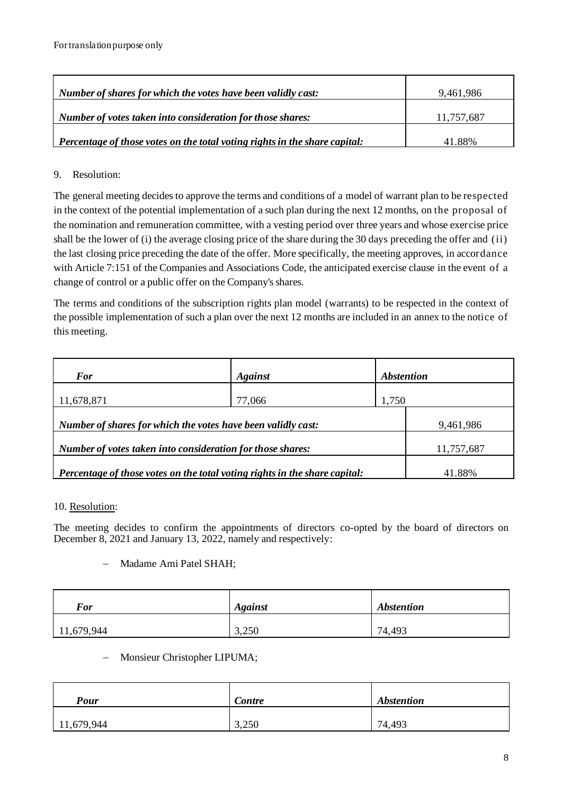| $\perp$ Number of shares for which the votes have been validly cast:               | 9.461.986  |
|------------------------------------------------------------------------------------|------------|
| Number of votes taken into consideration for those shares:                         | 11.757.687 |
| $\vert$ Percentage of those votes on the total voting rights in the share capital: | 41.88%     |

# 9. Resolution:

The general meeting decides to approve the terms and conditions of a model of warrant plan to be respected in the context of the potential implementation of a such plan during the next 12 months, on the proposal of the nomination and remuneration committee, with a vesting period over three years and whose exercise price shall be the lower of (i) the average closing price of the share during the 30 days preceding the offer and (ii) the last closing price preceding the date of the offer. More specifically, the meeting approves, in accordance with Article 7:151 of the Companies and Associations Code, the anticipated exercise clause in the event of a change of control or a public offer on the Company's shares.

The terms and conditions of the subscription rights plan model (warrants) to be respected in the context of the possible implementation of such a plan over the next 12 months are included in an annex to the notice of this meeting.

| <b>For</b>                                                                 | <b>Against</b> | <i><b>Abstention</b></i> |            |
|----------------------------------------------------------------------------|----------------|--------------------------|------------|
| 11,678,871                                                                 | 77,066         | 1,750                    |            |
| Number of shares for which the votes have been validly cast:               |                |                          | 9,461,986  |
| Number of votes taken into consideration for those shares:                 |                |                          | 11,757,687 |
| Percentage of those votes on the total voting rights in the share capital: |                |                          | 41.88%     |

# 10. Resolution:

The meeting decides to confirm the appointments of directors co-opted by the board of directors on December 8, 2021 and January 13, 2022, namely and respectively:

# − Madame Ami Patel SHAH;

| <b>For</b> | <b>Against</b> | <b>Abstention</b> |
|------------|----------------|-------------------|
| 11,679,944 | 3,250          | 74,493            |

## − Monsieur Christopher LIPUMA;

| <b>Pour</b> | Contre | <b>Abstention</b> |
|-------------|--------|-------------------|
| 11,679,944  | 3,250  | 74,493            |